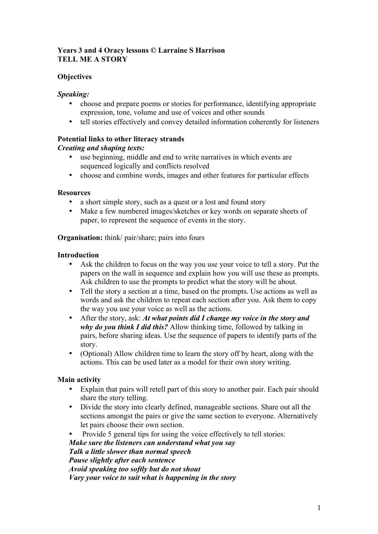# **Years 3 and 4 Oracy lessons © Larraine S Harrison TELL ME A STORY**

# **Objectives**

# *Speaking:*

- choose and prepare poems or stories for performance, identifying appropriate expression, tone, volume and use of voices and other sounds
- tell stories effectively and convey detailed information coherently for listeners

# **Potential links to other literacy strands**

# *Creating and shaping texts:*

- use beginning, middle and end to write narratives in which events are sequenced logically and conflicts resolved
- choose and combine words, images and other features for particular effects

## **Resources**

- a short simple story, such as a quest or a lost and found story
- Make a few numbered images/sketches or key words on separate sheets of paper, to represent the sequence of events in the story.

**Organisation:** think/ pair/share; pairs into fours

## **Introduction**

- Ask the children to focus on the way you use your voice to tell a story. Put the papers on the wall in sequence and explain how you will use these as prompts. Ask children to use the prompts to predict what the story will be about.
- Tell the story a section at a time, based on the prompts. Use actions as well as words and ask the children to repeat each section after you. Ask them to copy the way you use your voice as well as the actions.
- After the story, ask: *At what points did I change my voice in the story and why do you think I did this?* Allow thinking time, followed by talking in pairs, before sharing ideas. Use the sequence of papers to identify parts of the story.
- (Optional) Allow children time to learn the story off by heart, along with the actions. This can be used later as a model for their own story writing.

## **Main activity**

- Explain that pairs will retell part of this story to another pair. Each pair should share the story telling.
- Divide the story into clearly defined, manageable sections. Share out all the sections amongst the pairs or give the same section to everyone. Alternatively let pairs choose their own section.
- Provide 5 general tips for using the voice effectively to tell stories:

*Make sure the listeners can understand what you say Talk a little slower than normal speech Pause slightly after each sentence Avoid speaking too softly but do not shout Vary your voice to suit what is happening in the story*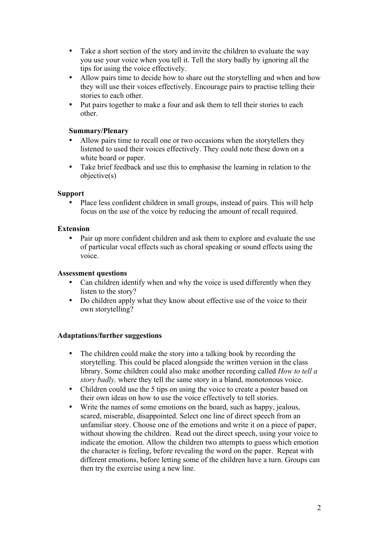- Take a short section of the story and invite the children to evaluate the way you use your voice when you tell it. Tell the story badly by ignoring all the tips for using the voice effectively.
- Allow pairs time to decide how to share out the storytelling and when and how they will use their voices effectively. Encourage pairs to practise telling their stories to each other.
- Put pairs together to make a four and ask them to tell their stories to each other.

### **Summary/Plenary**

- Allow pairs time to recall one or two occasions when the storytellers they listened to used their voices effectively. They could note these down on a white board or paper.
- Take brief feedback and use this to emphasise the learning in relation to the objective(s)

### **Support**

• Place less confident children in small groups, instead of pairs. This will help focus on the use of the voice by reducing the amount of recall required.

### **Extension**

• Pair up more confident children and ask them to explore and evaluate the use of particular vocal effects such as choral speaking or sound effects using the voice.

#### **Assessment questions**

- Can children identify when and why the voice is used differently when they listen to the story?
- Do children apply what they know about effective use of the voice to their own storytelling?

#### **Adaptations/further suggestions**

- The children could make the story into a talking book by recording the storytelling. This could be placed alongside the written version in the class library. Some children could also make another recording called *How to tell a story badly*, where they tell the same story in a bland, monotonous voice.
- Children could use the 5 tips on using the voice to create a poster based on their own ideas on how to use the voice effectively to tell stories.
- Write the names of some emotions on the board, such as happy, jealous, scared, miserable, disappointed. Select one line of direct speech from an unfamiliar story. Choose one of the emotions and write it on a piece of paper, without showing the children. Read out the direct speech, using your voice to indicate the emotion. Allow the children two attempts to guess which emotion the character is feeling, before revealing the word on the paper. Repeat with different emotions, before letting some of the children have a turn. Groups can then try the exercise using a new line.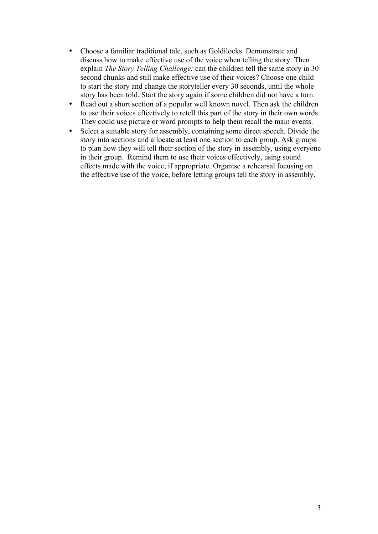- Choose a familiar traditional tale, such as Goldilocks. Demonstrate and discuss how to make effective use of the voice when telling the story. Then explain *The Story Telling Challenge:* can the children tell the same story in 30 second chunks and still make effective use of their voices? Choose one child to start the story and change the storyteller every 30 seconds, until the whole story has been told. Start the story again if some children did not have a turn.
- Read out a short section of a popular well known novel. Then ask the children to use their voices effectively to retell this part of the story in their own words. They could use picture or word prompts to help them recall the main events.
- Select a suitable story for assembly, containing some direct speech. Divide the story into sections and allocate at least one section to each group. Ask groups to plan how they will tell their section of the story in assembly, using everyone in their group. Remind them to use their voices effectively, using sound effects made with the voice, if appropriate. Organise a rehearsal focusing on the effective use of the voice, before letting groups tell the story in assembly.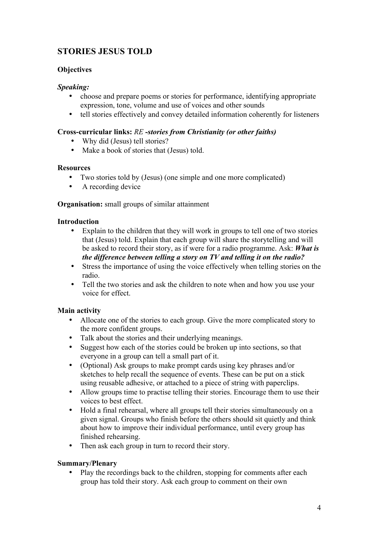# **STORIES JESUS TOLD**

# **Objectives**

# *Speaking:*

- choose and prepare poems or stories for performance, identifying appropriate expression, tone, volume and use of voices and other sounds
- tell stories effectively and convey detailed information coherently for listeners

# **Cross-curricular links:** *RE -stories from Christianity (or other faiths)*

- Why did (Jesus) tell stories?
- Make a book of stories that (Jesus) told.

### **Resources**

- Two stories told by (Jesus) (one simple and one more complicated)
- A recording device

## **Organisation:** small groups of similar attainment

## **Introduction**

- Explain to the children that they will work in groups to tell one of two stories that (Jesus) told. Explain that each group will share the storytelling and will be asked to record their story, as if were for a radio programme. Ask: *What is the difference between telling a story on TV and telling it on the radio?*
- Stress the importance of using the voice effectively when telling stories on the radio.
- Tell the two stories and ask the children to note when and how you use your voice for effect.

## **Main activity**

- Allocate one of the stories to each group. Give the more complicated story to the more confident groups.
- Talk about the stories and their underlying meanings.
- Suggest how each of the stories could be broken up into sections, so that everyone in a group can tell a small part of it.
- (Optional) Ask groups to make prompt cards using key phrases and/or sketches to help recall the sequence of events. These can be put on a stick using reusable adhesive, or attached to a piece of string with paperclips.
- Allow groups time to practise telling their stories. Encourage them to use their voices to best effect.
- Hold a final rehearsal, where all groups tell their stories simultaneously on a given signal. Groups who finish before the others should sit quietly and think about how to improve their individual performance, until every group has finished rehearsing.
- Then ask each group in turn to record their story.

## **Summary/Plenary**

• Play the recordings back to the children, stopping for comments after each group has told their story. Ask each group to comment on their own